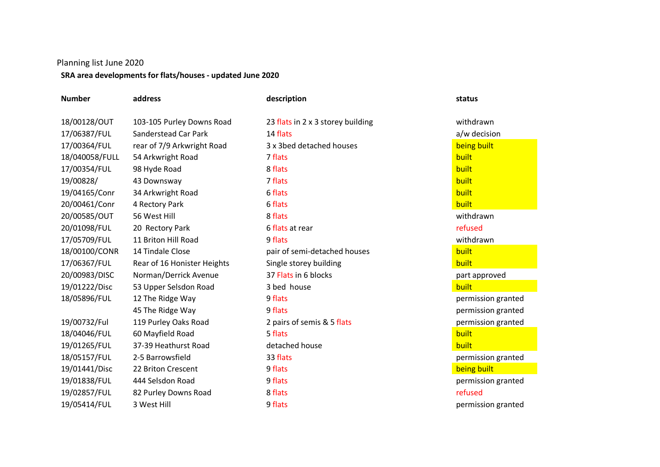## Planning list June 2020

## **SRA area developments for flats/houses - updated June 2020**

| <b>Number</b>  | address                     | description                       | status       |
|----------------|-----------------------------|-----------------------------------|--------------|
| 18/00128/OUT   | 103-105 Purley Downs Road   | 23 flats in 2 x 3 storey building | withd        |
| 17/06387/FUL   | Sanderstead Car Park        | 14 flats                          | a/w d        |
| 17/00364/FUL   | rear of 7/9 Arkwright Road  | 3 x 3bed detached houses          | being        |
| 18/040058/FULL | 54 Arkwright Road           | 7 flats                           | built        |
| 17/00354/FUL   | 98 Hyde Road                | 8 flats                           | <b>built</b> |
| 19/00828/      | 43 Downsway                 | 7 flats                           | built        |
| 19/04165/Conr  | 34 Arkwright Road           | 6 flats                           | built        |
| 20/00461/Conr  | 4 Rectory Park              | 6 flats                           | built        |
| 20/00585/OUT   | 56 West Hill                | 8 flats                           | withd        |
| 20/01098/FUL   | 20 Rectory Park             | 6 flats at rear                   | refuse       |
| 17/05709/FUL   | 11 Briton Hill Road         | 9 flats                           | withd        |
| 18/00100/CONR  | 14 Tindale Close            | pair of semi-detached houses      | <b>built</b> |
| 17/06367/FUL   | Rear of 16 Honister Heights | Single storey building            | <b>built</b> |
| 20/00983/DISC  | Norman/Derrick Avenue       | 37 Flats in 6 blocks              | part a       |
| 19/01222/Disc  | 53 Upper Selsdon Road       | 3 bed house                       | <b>built</b> |
| 18/05896/FUL   | 12 The Ridge Way            | 9 flats                           | permi        |
|                | 45 The Ridge Way            | 9 flats                           | permi        |
| 19/00732/Ful   | 119 Purley Oaks Road        | 2 pairs of semis & 5 flats        | permi        |
| 18/04046/FUL   | 60 Mayfield Road            | 5 flats                           | built        |
| 19/01265/FUL   | 37-39 Heathurst Road        | detached house                    | <b>built</b> |
| 18/05157/FUL   | 2-5 Barrowsfield            | 33 flats                          | permi        |
| 19/01441/Disc  | 22 Briton Crescent          | 9 flats                           | being        |
| 19/01838/FUL   | 444 Selsdon Road            | 9 flats                           | permi        |
| 19/02857/FUL   | 82 Purley Downs Road        | 8 flats                           | refuse       |
| 19/05414/FUL   | 3 West Hill                 | 9 flats                           | permi        |
|                |                             |                                   |              |

05 Purley Downs Road 23 flats in 2 x 3 storey building withdrawn 17/06387/FUL Sanderstead Car Park 14 flats and the same state of the Sanderstead Car Park 14 flats and the same state of the same state of the same state of the same state of the same state of the same state of the same st 17/9 Arkwright Road 2 x 3bed detached houses being built 18/040058/FULL 54 Arkwright Road 7 flats <mark>built</mark> 17/00354/FUL 98 Hyde Road 8 flats built 19/00828/ 43 Downsway 7 flats built 19/04165/Conr 34 Arkwright Road 6 flats <mark>built</mark> 20/00461/Conr 4 Rectory Park 6 flats <mark>built</mark> 20/00585/OUT 56 West Hill 8 flats withdrawn and the second withdrawn 20/01098/FUL 20 Rectory Park 6 flats at rear refused 17/05709/FUL 11 Briton Hill Road 9 flats 9 flats withdrawn dale Close entity of semi-detached houses built built built f 16 Honister Heights Single storey building built built built an/Derrick Avenue 237 Flats in 6 blocks part approved 19/02/22 oer Selsdon Road 3 bed house built built built built built built built built built built built built built built built built built built built built built built built built built built built built built built buil Ridge Way **18/05896 Full 12 The Ridge Way 12 The Ridge Way 12 The Ridge Way 12 The Ridge Way 12 The Ridge Way 12 The Ridge Way 12 The Ridge Way 12 The Ridge Way 12 The Ridge Way 12 The Ridge Way 12 The Ridge Way 12 The Rid** Afridge Way **9 Flats 9 flats 1.1 Africa permission granted permission granted** Intey Oaks Road **2** pairs of semis & 5 flats permission granted 18/04046/FUL 60 Mayfield Road 5 flats built Heathurst Road **built** built and detached house built built built built built built nation of the term of the state of the state of the state of the state of the state of the state of the state o 19/01441/Disc 22 Briton Crescent 2001 9 flats being built being built Isdon Road **19 19 Filats** 19 **FI** at 5 and 5 and 5 and 5 and 5 and 5 and 5 and 5 and 5 and 5 and 5 and 5 and 5 and 5 and 5 and 4 and 5 and 5 and 5 and 5 and 5 and 5 and 5 and 5 and 5 and 5 and 5 and 5 and 5 and 5 and 5 a 19/02/FUL 8 flats refused by the Second Structure of the Second Structure of the Second Structure of the Second Structure of the Second Structure of the Second Structure of the Second Structure of the Second Structure of t 19 Hill 3 Metal 3 Metal 3 Metal 3 Metal 3 West Hill 3 West Hill 3 West Hill 3 West Hill 3 West Hill 3 West Hill 3 West Hill 3 West Hill 3 West Hill 3 West Hill 3 West Hill 3 West Hill 3 West Hill 3 West Hill 3 West Hill 3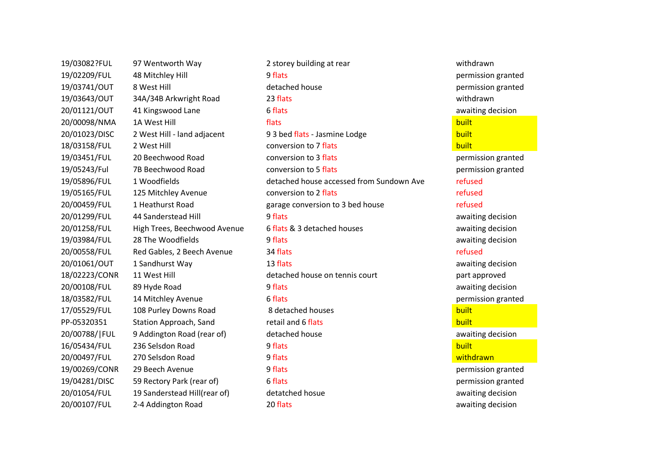19/03082?FUL 97 Wentworth Way 2 storey building at rear withdrawn

19/02209/FUL 48 Mitchley Hill 9 flats 9 flats permission granted 19/03741/OUT 8 West Hill detached house permission granted 19/03643/OUT 34A/34B Arkwright Road 23 flats withdrawn 20/01121/OUT 41 Kingswood Lane 6 flats 6 flats 6 flats awaiting decision 20/00098/NMA 1A West Hill flats built 20/01023/DISC 2 West Hill - land adjacent 93 bed flats - Jasmine Lodge built 18/03158/FUL 2 West Hill **2 Conversion to 7 flats** built 19/03451/FUL 20 Beechwood Road conversion to 3 flats permission granted 19/05243/Ful 7B Beechwood Road conversion to 5 flats permission granted 19/05896/FUL 1 Woodfields detached house accessed from Sundown Ave refused 19/05165/FUL 125 Mitchley Avenue conversion to 2 flats refused 20/00459/FUL 1 Heathurst Road extending parage conversion to 3 bed house refused 20/01299/FUL 44 Sanderstead Hill 9 flats awaiting decision 20/01258/FUL High Trees, Beechwood Avenue 6 flats & 3 detached houses awaiting decision 19/03984/FUL 28 The Woodfields **28** a volume 19 flats awaiting decision 20/00558/FUL Red Gables, 2 Beech Avenue 34 flats refused 20/01061/OUT 1 Sandhurst Way 13 flats 19th awaiting decision 18/02223/CONR 11 West Hill detached house on tennis court part approved 20/00108/FUL 89 Hyde Road 9 flats 9 flats awaiting decision 18/03582/FUL 14 Mitchley Avenue 6 flats permission granted 17/05529/FUL 108 Purley Downs Road 8 detached houses and a settlement of the state built PP-05320351 Station Approach, Sand retail and 6 flats built built 20/00788/|FUL 9 Addington Road (rear of) detached house awaiting decision 16/05434/FUL 236 Selsdon Road 9 flats built built built built built built built built built built built built 20/00497/FUL 270 Selsdon Road 9 flats withdrawn 19/00269/CONR 29 Beech Avenue 9 flats permission granted 19/04281/DISC 59 Rectory Park (rear of) 6 flats permission granted 20/01054/FUL 19 Sanderstead Hill(rear of) detatched hosue awaiting decision and the set of the set of the decision 20/00107/FUL 2-4 Addington Road 20 flats awaiting decision